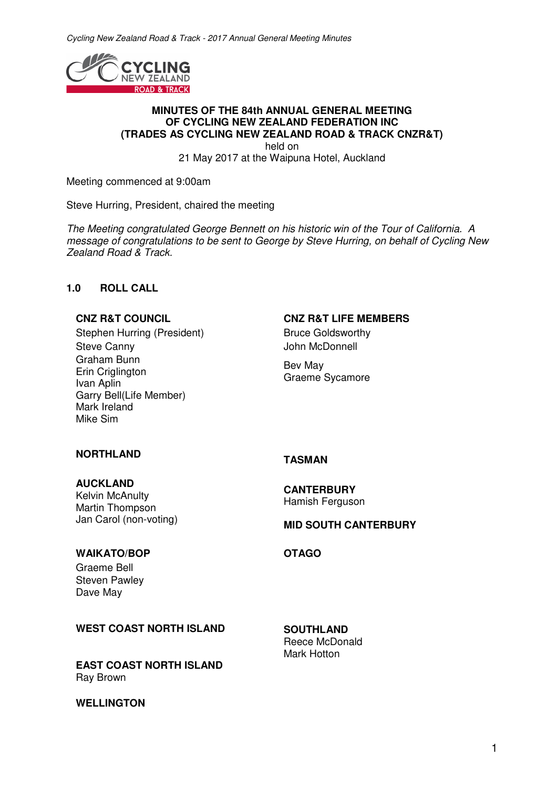

#### **MINUTES OF THE 84th ANNUAL GENERAL MEETING OF CYCLING NEW ZEALAND FEDERATION INC (TRADES AS CYCLING NEW ZEALAND ROAD & TRACK CNZR&T)**

held on

21 May 2017 at the Waipuna Hotel, Auckland

Meeting commenced at 9:00am

Steve Hurring, President, chaired the meeting

*The Meeting congratulated George Bennett on his historic win of the Tour of California. A message of congratulations to be sent to George by Steve Hurring, on behalf of Cycling New Zealand Road & Track.* 

### **1.0 ROLL CALL**

Stephen Hurring (President) Bruce Goldsworthy Steve Canny **Steve Canny John McDonnell** Graham Bunn Erin Criglington Ivan Aplin Garry Bell(Life Member) Mark Ireland Mike Sim

## **CNZ R&T COUNCIL CNZ R&T LIFE MEMBERS**

Bev May Graeme Sycamore

# **NORTHLAND TASMAN**

#### **AUCKLAND**

Kelvin McAnulty Martin Thompson Jan Carol (non-voting)

**CANTERBURY**  Hamish Ferguson

#### **MID SOUTH CANTERBURY**

### **WAIKATO/BOP OTAGO**

Graeme Bell Steven Pawley Dave May

#### WEST COAST NORTH ISLAND **SOUTHLAND**

**EAST COAST NORTH ISLAND** Ray Brown

#### **WELLINGTON**

Reece McDonald Mark Hotton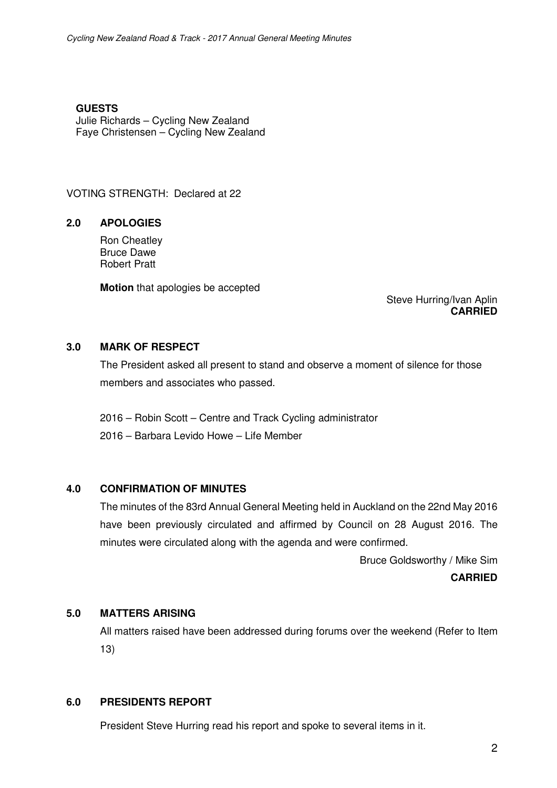**GUESTS** Julie Richards – Cycling New Zealand Faye Christensen – Cycling New Zealand

VOTING STRENGTH: Declared at 22

## **2.0 APOLOGIES**

Ron Cheatley Bruce Dawe Robert Pratt

**Motion** that apologies be accepted

Steve Hurring/Ivan Aplin **CARRIED** 

## **3.0 MARK OF RESPECT**

The President asked all present to stand and observe a moment of silence for those members and associates who passed.

2016 – Robin Scott – Centre and Track Cycling administrator 2016 – Barbara Levido Howe – Life Member

#### **4.0 CONFIRMATION OF MINUTES**

The minutes of the 83rd Annual General Meeting held in Auckland on the 22nd May 2016 have been previously circulated and affirmed by Council on 28 August 2016. The minutes were circulated along with the agenda and were confirmed.

Bruce Goldsworthy / Mike Sim

#### **CARRIED**

### **5.0 MATTERS ARISING**

All matters raised have been addressed during forums over the weekend (Refer to Item 13)

## **6.0 PRESIDENTS REPORT**

President Steve Hurring read his report and spoke to several items in it.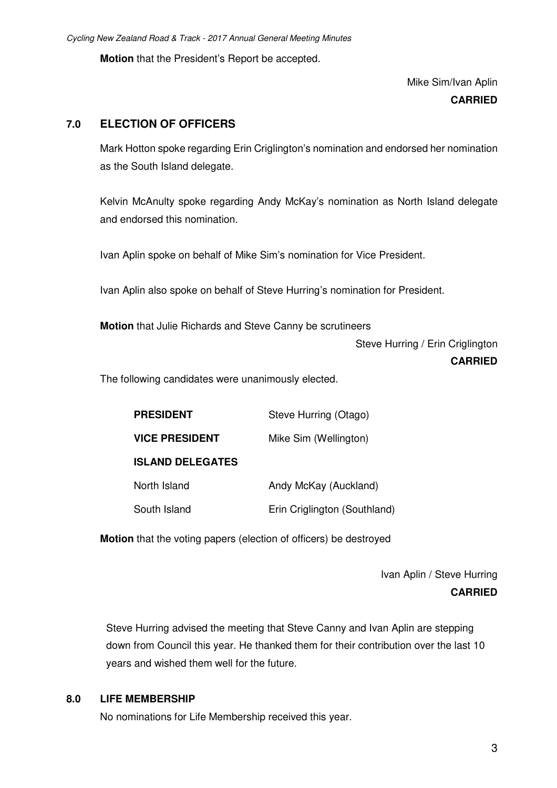**Motion** that the President's Report be accepted.

Mike Sim/Ivan Aplin **CARRIED** 

## **7.0 ELECTION OF OFFICERS**

Mark Hotton spoke regarding Erin Criglington's nomination and endorsed her nomination as the South Island delegate.

 Kelvin McAnulty spoke regarding Andy McKay's nomination as North Island delegate and endorsed this nomination.

Ivan Aplin spoke on behalf of Mike Sim's nomination for Vice President.

Ivan Aplin also spoke on behalf of Steve Hurring's nomination for President.

**Motion** that Julie Richards and Steve Canny be scrutineers

 Steve Hurring / Erin Criglington **CARRIED** 

The following candidates were unanimously elected.

| <b>PRESIDENT</b>        | Steve Hurring (Otago)        |
|-------------------------|------------------------------|
| <b>VICE PRESIDENT</b>   | Mike Sim (Wellington)        |
| <b>ISLAND DELEGATES</b> |                              |
| North Island            | Andy McKay (Auckland)        |
| South Island            | Erin Criglington (Southland) |

**Motion** that the voting papers (election of officers) be destroyed

 Ivan Aplin / Steve Hurring **CARRIED** 

Steve Hurring advised the meeting that Steve Canny and Ivan Aplin are stepping down from Council this year. He thanked them for their contribution over the last 10 years and wished them well for the future.

#### **8.0 LIFE MEMBERSHIP**

No nominations for Life Membership received this year.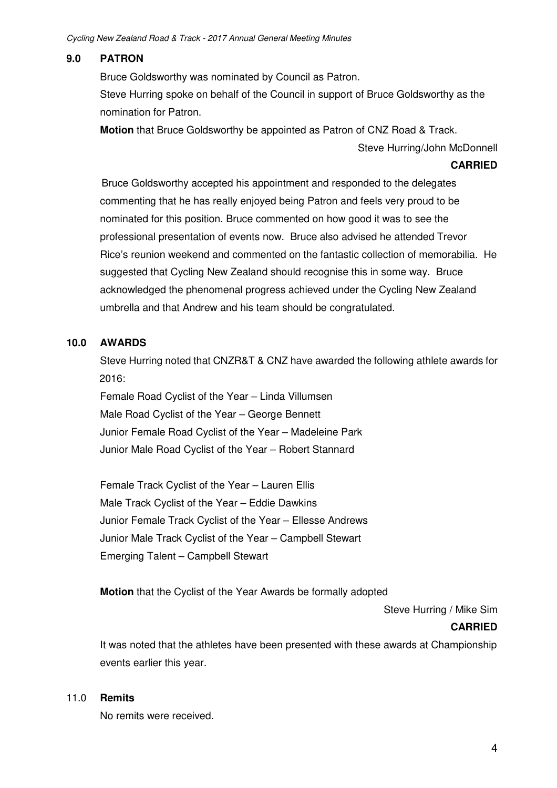# **9.0 PATRON**

Bruce Goldsworthy was nominated by Council as Patron. Steve Hurring spoke on behalf of the Council in support of Bruce Goldsworthy as the nomination for Patron.

**Motion** that Bruce Goldsworthy be appointed as Patron of CNZ Road & Track.

Steve Hurring/John McDonnell

#### **CARRIED**

 Bruce Goldsworthy accepted his appointment and responded to the delegates commenting that he has really enjoyed being Patron and feels very proud to be nominated for this position. Bruce commented on how good it was to see the professional presentation of events now. Bruce also advised he attended Trevor Rice's reunion weekend and commented on the fantastic collection of memorabilia. He suggested that Cycling New Zealand should recognise this in some way. Bruce acknowledged the phenomenal progress achieved under the Cycling New Zealand umbrella and that Andrew and his team should be congratulated.

## **10.0 AWARDS**

Steve Hurring noted that CNZR&T & CNZ have awarded the following athlete awards for 2016:

 Female Road Cyclist of the Year – Linda Villumsen Male Road Cyclist of the Year – George Bennett Junior Female Road Cyclist of the Year – Madeleine Park Junior Male Road Cyclist of the Year – Robert Stannard

Female Track Cyclist of the Year – Lauren Ellis Male Track Cyclist of the Year – Eddie Dawkins Junior Female Track Cyclist of the Year – Ellesse Andrews Junior Male Track Cyclist of the Year – Campbell Stewart Emerging Talent – Campbell Stewart

**Motion** that the Cyclist of the Year Awards be formally adopted

Steve Hurring / Mike Sim

#### **CARRIED**

 It was noted that the athletes have been presented with these awards at Championship events earlier this year.

#### 11.0 **Remits**

No remits were received.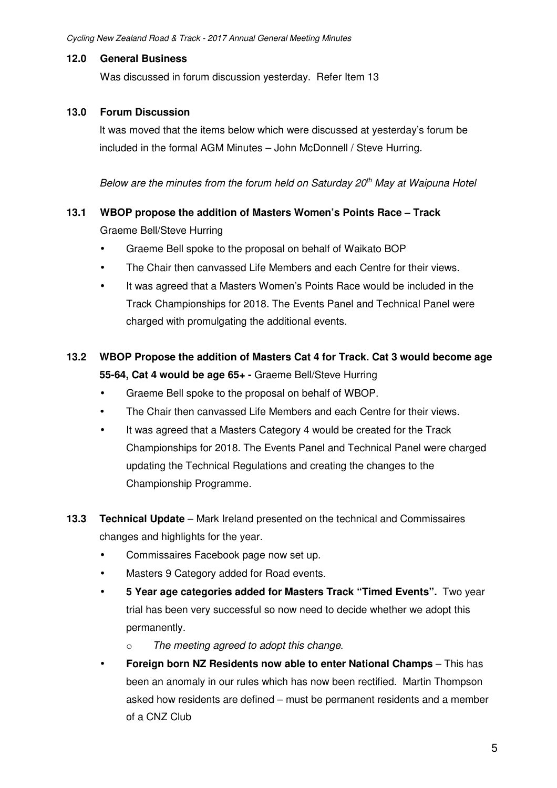## **12.0 General Business**

Was discussed in forum discussion yesterday. Refer Item 13

## **13.0 Forum Discussion**

It was moved that the items below which were discussed at yesterday's forum be included in the formal AGM Minutes – John McDonnell / Steve Hurring.

*Below are the minutes from the forum held on Saturday 20th May at Waipuna Hotel*

## **13.1 WBOP propose the addition of Masters Women's Points Race – Track**

Graeme Bell/Steve Hurring

- Graeme Bell spoke to the proposal on behalf of Waikato BOP
- The Chair then canvassed Life Members and each Centre for their views.
- It was agreed that a Masters Women's Points Race would be included in the Track Championships for 2018. The Events Panel and Technical Panel were charged with promulgating the additional events.

# **13.2 WBOP Propose the addition of Masters Cat 4 for Track. Cat 3 would become age 55-64, Cat 4 would be age 65+ -** Graeme Bell/Steve Hurring

- Graeme Bell spoke to the proposal on behalf of WBOP.
- The Chair then canvassed Life Members and each Centre for their views.
- It was agreed that a Masters Category 4 would be created for the Track Championships for 2018. The Events Panel and Technical Panel were charged updating the Technical Regulations and creating the changes to the Championship Programme.
- **13.3 Technical Update** Mark Ireland presented on the technical and Commissaires changes and highlights for the year.
	- Commissaires Facebook page now set up.
	- Masters 9 Category added for Road events.
	- **5 Year age categories added for Masters Track "Timed Events".** Two year trial has been very successful so now need to decide whether we adopt this permanently.
		- o *The meeting agreed to adopt this change.*
	- **• Foreign born NZ Residents now able to enter National Champs** This has been an anomaly in our rules which has now been rectified. Martin Thompson asked how residents are defined – must be permanent residents and a member of a CNZ Club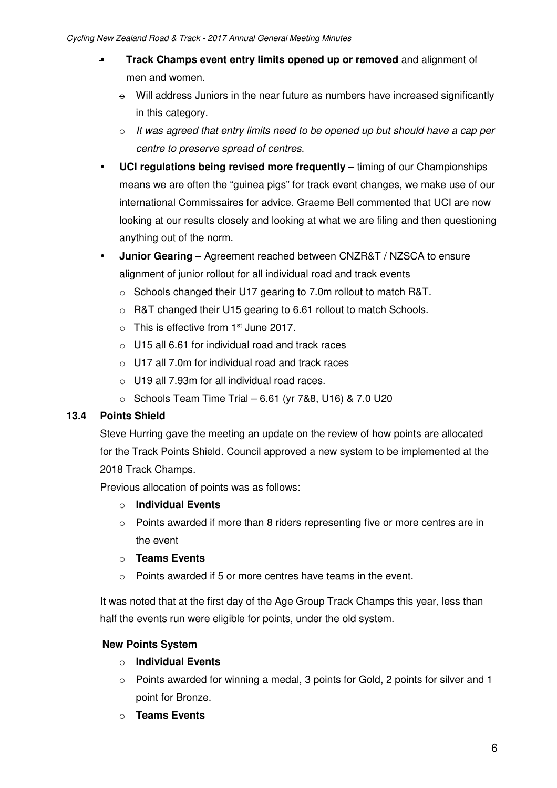- **Track Champs event entry limits opened up or removed** and alignment of men and women.
	- $\theta$  Will address Juniors in the near future as numbers have increased significantly in this category.
	- o *It was agreed that entry limits need to be opened up but should have a cap per centre to preserve spread of centres.*
- **UCI regulations being revised more frequently** timing of our Championships means we are often the "guinea pigs" for track event changes, we make use of our international Commissaires for advice. Graeme Bell commented that UCI are now looking at our results closely and looking at what we are filing and then questioning anything out of the norm.
- **Junior Gearing** Agreement reached between CNZR&T / NZSCA to ensure alignment of junior rollout for all individual road and track events
	- o Schools changed their U17 gearing to 7.0m rollout to match R&T.
	- o R&T changed their U15 gearing to 6.61 rollout to match Schools.
	- $\circ$  This is effective from 1<sup>st</sup> June 2017.
	- o U15 all 6.61 for individual road and track races
	- $\circ$  U17 all 7.0m for individual road and track races
	- $\circ$  U19 all 7.93m for all individual road races.
	- $\circ$  Schools Team Time Trial 6.61 (yr 7&8, U16) & 7.0 U20

# **13.4 Points Shield**

Steve Hurring gave the meeting an update on the review of how points are allocated for the Track Points Shield. Council approved a new system to be implemented at the 2018 Track Champs.

Previous allocation of points was as follows:

# o **Individual Events**

- $\circ$  Points awarded if more than 8 riders representing five or more centres are in the event
- o **Teams Events**
- o Points awarded if 5 or more centres have teams in the event.

It was noted that at the first day of the Age Group Track Champs this year, less than half the events run were eligible for points, under the old system.

# **New Points System**

- o **Individual Events**
- o Points awarded for winning a medal, 3 points for Gold, 2 points for silver and 1 point for Bronze.
- o **Teams Events**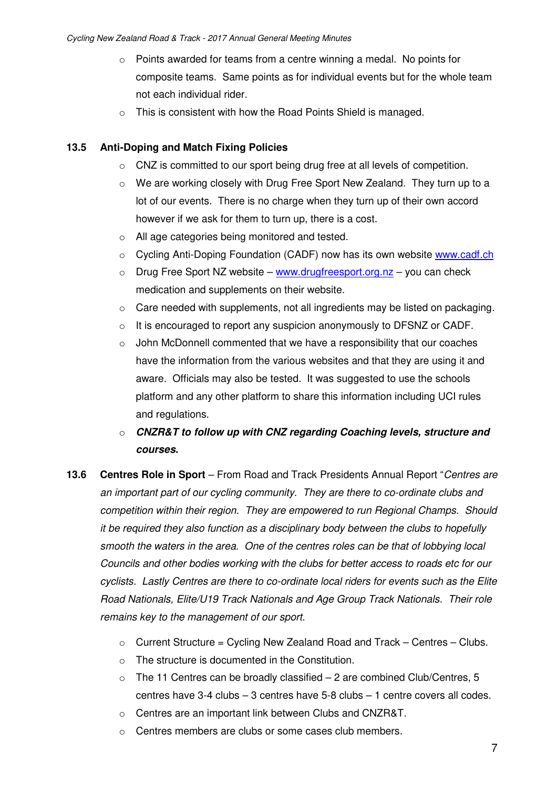- o Points awarded for teams from a centre winning a medal. No points for composite teams. Same points as for individual events but for the whole team not each individual rider.
- o This is consistent with how the Road Points Shield is managed.

# **13.5 Anti-Doping and Match Fixing Policies**

- o CNZ is committed to our sport being drug free at all levels of competition.
- o We are working closely with Drug Free Sport New Zealand. They turn up to a lot of our events. There is no charge when they turn up of their own accord however if we ask for them to turn up, there is a cost.
- o All age categories being monitored and tested.
- o Cycling Anti-Doping Foundation (CADF) now has its own website www.cadf.ch
- $\circ$  Drug Free Sport NZ website www.drugfreesport.org.nz you can check medication and supplements on their website.
- $\circ$  Care needed with supplements, not all ingredients may be listed on packaging.
- $\circ$  It is encouraged to report any suspicion anonymously to DFSNZ or CADF.
- $\circ$  John McDonnell commented that we have a responsibility that our coaches have the information from the various websites and that they are using it and aware. Officials may also be tested. It was suggested to use the schools platform and any other platform to share this information including UCI rules and regulations.
- o *CNZR&T to follow up with CNZ regarding Coaching levels, structure and courses.*
- **13.6 Centres Role in Sport** From Road and Track Presidents Annual Report "*Centres are an important part of our cycling community. They are there to co-ordinate clubs and competition within their region. They are empowered to run Regional Champs. Should it be required they also function as a disciplinary body between the clubs to hopefully smooth the waters in the area. One of the centres roles can be that of lobbying local Councils and other bodies working with the clubs for better access to roads etc for our cyclists. Lastly Centres are there to co-ordinate local riders for events such as the Elite Road Nationals, Elite/U19 Track Nationals and Age Group Track Nationals. Their role remains key to the management of our sport.* 
	- $\circ$  Current Structure = Cycling New Zealand Road and Track Centres Clubs.
	- o The structure is documented in the Constitution.
	- $\circ$  The 11 Centres can be broadly classified  $-2$  are combined Club/Centres, 5 centres have 3-4 clubs – 3 centres have 5-8 clubs – 1 centre covers all codes.
	- o Centres are an important link between Clubs and CNZR&T.
	- o Centres members are clubs or some cases club members.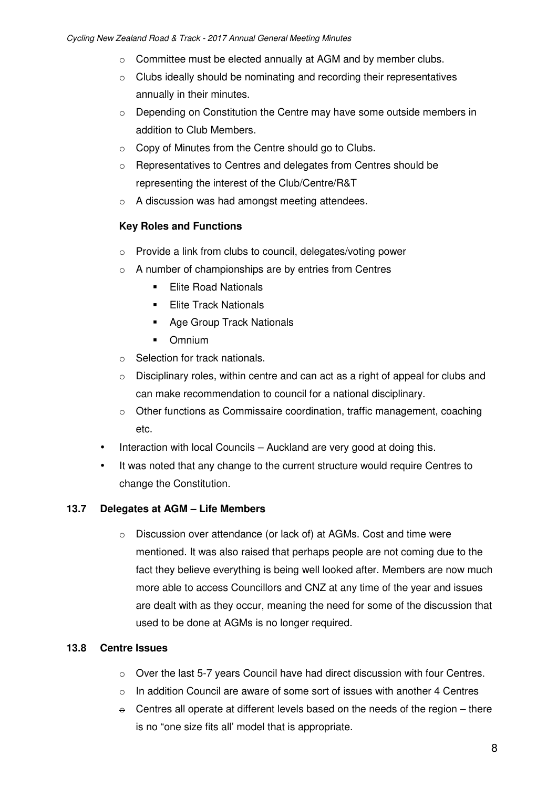- o Committee must be elected annually at AGM and by member clubs.
- o Clubs ideally should be nominating and recording their representatives annually in their minutes.
- $\circ$  Depending on Constitution the Centre may have some outside members in addition to Club Members.
- o Copy of Minutes from the Centre should go to Clubs.
- o Representatives to Centres and delegates from Centres should be representing the interest of the Club/Centre/R&T
- o A discussion was had amongst meeting attendees.

# **Key Roles and Functions**

- o Provide a link from clubs to council, delegates/voting power
- o A number of championships are by entries from Centres
	- **Elite Road Nationals**
	- **Elite Track Nationals**
	- **Age Group Track Nationals**
	- **•** Omnium
- o Selection for track nationals.
- $\circ$  Disciplinary roles, within centre and can act as a right of appeal for clubs and can make recommendation to council for a national disciplinary.
- o Other functions as Commissaire coordination, traffic management, coaching etc.
- Interaction with local Councils Auckland are very good at doing this.
- It was noted that any change to the current structure would require Centres to change the Constitution.

## **13.7 Delegates at AGM – Life Members**

o Discussion over attendance (or lack of) at AGMs. Cost and time were mentioned. It was also raised that perhaps people are not coming due to the fact they believe everything is being well looked after. Members are now much more able to access Councillors and CNZ at any time of the year and issues are dealt with as they occur, meaning the need for some of the discussion that used to be done at AGMs is no longer required.

## **13.8 Centre Issues**

- $\circ$  Over the last 5-7 years Council have had direct discussion with four Centres.
- $\circ$  In addition Council are aware of some sort of issues with another 4 Centres
- $\div$  Centres all operate at different levels based on the needs of the region there is no "one size fits all' model that is appropriate.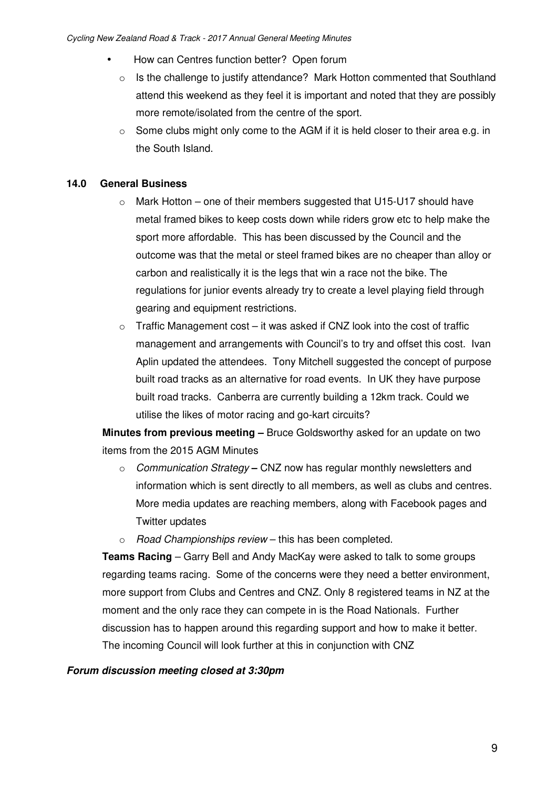- How can Centres function better? Open forum
	- o Is the challenge to justify attendance? Mark Hotton commented that Southland attend this weekend as they feel it is important and noted that they are possibly more remote/isolated from the centre of the sport.
	- $\circ$  Some clubs might only come to the AGM if it is held closer to their area e.g. in the South Island.

# **14.0 General Business**

- $\circ$  Mark Hotton one of their members suggested that U15-U17 should have metal framed bikes to keep costs down while riders grow etc to help make the sport more affordable. This has been discussed by the Council and the outcome was that the metal or steel framed bikes are no cheaper than alloy or carbon and realistically it is the legs that win a race not the bike. The regulations for junior events already try to create a level playing field through gearing and equipment restrictions.
- $\circ$  Traffic Management cost it was asked if CNZ look into the cost of traffic management and arrangements with Council's to try and offset this cost. Ivan Aplin updated the attendees. Tony Mitchell suggested the concept of purpose built road tracks as an alternative for road events. In UK they have purpose built road tracks. Canberra are currently building a 12km track. Could we utilise the likes of motor racing and go-kart circuits?

**Minutes from previous meeting –** Bruce Goldsworthy asked for an update on two items from the 2015 AGM Minutes

- o *Communication Strategy*CNZ now has regular monthly newsletters and information which is sent directly to all members, as well as clubs and centres. More media updates are reaching members, along with Facebook pages and Twitter updates
- o *Road Championships review* this has been completed.

**Teams Racing** – Garry Bell and Andy MacKay were asked to talk to some groups regarding teams racing. Some of the concerns were they need a better environment, more support from Clubs and Centres and CNZ. Only 8 registered teams in NZ at the moment and the only race they can compete in is the Road Nationals. Further discussion has to happen around this regarding support and how to make it better. The incoming Council will look further at this in conjunction with CNZ

## *Forum discussion meeting closed at 3:30pm*